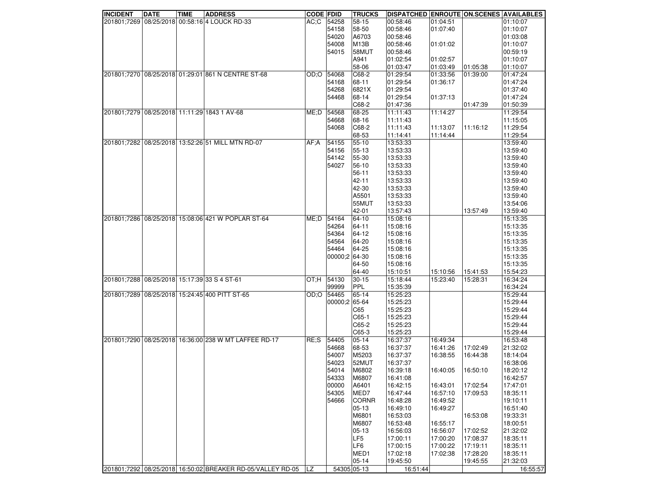| <b>INCIDENT</b>                              | <b>DATE</b> | <b>TIME</b> | <b>ADDRESS</b>                                             | <b>CODE FDID</b> |               | <b>TRUCKS</b>     | DISPATCHED ENROUTE ON SCENES AVAILABLES |          |          |          |
|----------------------------------------------|-------------|-------------|------------------------------------------------------------|------------------|---------------|-------------------|-----------------------------------------|----------|----------|----------|
|                                              |             |             | 201801;7269 08/25/2018 00:58:16 4 LOUCK RD-33              | $AC:$ C          | 54258         | 58-15             | 00:58:46                                | 01:04:51 |          | 01:10:07 |
|                                              |             |             |                                                            |                  | 54158         | 58-50             | 00:58:46                                | 01:07:40 |          | 01:10:07 |
|                                              |             |             |                                                            |                  | 54020         | A6703             | 00:58:46                                |          |          | 01:03:08 |
|                                              |             |             |                                                            |                  | 54008         | M <sub>13</sub> B | 00:58:46                                | 01:01:02 |          | 01:10:07 |
|                                              |             |             |                                                            |                  | 54015         | 58MUT             | 00:58:46                                |          |          | 00:59:19 |
|                                              |             |             |                                                            |                  |               | A941              | 01:02:54                                | 01:02:57 |          | 01:10:07 |
|                                              |             |             |                                                            |                  |               | 58-06             | 01:03:47                                | 01:03:49 | 01:05:38 | 01:10:07 |
|                                              |             |             | 201801;7270 08/25/2018 01:29:01 861 N CENTRE ST-68         | OD:O             | 54068         | C68-2             | 01:29:54                                | 01:33:56 | 01:39:00 | 01:47:24 |
|                                              |             |             |                                                            |                  | 54168         | 68-11             | 01:29:54                                | 01:36:17 |          | 01:47:24 |
|                                              |             |             |                                                            |                  | 54268         | 6821X             | 01:29:54                                |          |          | 01:37:40 |
|                                              |             |             |                                                            |                  | 54468         | 68-14             | 01:29:54                                | 01:37:13 |          | 01:47:24 |
|                                              |             |             |                                                            |                  |               |                   |                                         |          |          |          |
|                                              |             |             |                                                            |                  |               | C68-2             | 01:47:36                                |          | 01:47:39 | 01:50:39 |
|                                              |             |             | 201801;7279 08/25/2018 11:11:29 1843 1 AV-68               | ME;D             | 54568         | 68-25             | 11:11:43                                | 11:14:27 |          | 11:29:54 |
|                                              |             |             |                                                            |                  | 54668         | 68-16             | 11:11:43                                |          |          | 11:15:05 |
|                                              |             |             |                                                            |                  | 54068         | C68-2             | 11:11:43                                | 11:13:07 | 11:16:12 | 11:29:54 |
|                                              |             |             |                                                            |                  |               | 68-53             | 11:14:41                                | 11:14:44 |          | 11:29:54 |
|                                              |             |             | 201801;7282 08/25/2018 13:52:26 51 MILL MTN RD-07          | AF:A             | 54155         | $55 - 10$         | 13:53:33                                |          |          | 13:59:40 |
|                                              |             |             |                                                            |                  | 54156         | 55-13             | 13:53:33                                |          |          | 13:59:40 |
|                                              |             |             |                                                            |                  | 54142         | 55-30             | 13:53:33                                |          |          | 13:59:40 |
|                                              |             |             |                                                            |                  | 54027         | $56-10$           | 13:53:33                                |          |          | 13:59:40 |
|                                              |             |             |                                                            |                  |               | 56-11             | 13:53:33                                |          |          | 13:59:40 |
|                                              |             |             |                                                            |                  |               | 42-11             | 13:53:33                                |          |          | 13:59:40 |
|                                              |             |             |                                                            |                  |               | 42-30             | 13:53:33                                |          |          | 13:59:40 |
|                                              |             |             |                                                            |                  |               | A5501             | 13:53:33                                |          |          | 13:59:40 |
|                                              |             |             |                                                            |                  |               | 55MUT             | 13:53:33                                |          |          | 13:54:06 |
|                                              |             |             |                                                            |                  |               | 42-01             | 13:57:43                                |          | 13:57:49 | 13:59:40 |
|                                              |             |             | 201801;7286 08/25/2018 15:08:06 421 W POPLAR ST-64         | ME: D            | 54164         | 64-10             | 15:08:16                                |          |          | 15:13:35 |
|                                              |             |             |                                                            |                  | 54264         | 64-11             | 15:08:16                                |          |          | 15:13:35 |
|                                              |             |             |                                                            |                  | 54364         | 64-12             | 15:08:16                                |          |          | 15:13:35 |
|                                              |             |             |                                                            |                  | 54564         | 64-20             | 15:08:16                                |          |          | 15:13:35 |
|                                              |             |             |                                                            |                  | 54464         | 64-25             | 15:08:16                                |          |          | 15:13:35 |
|                                              |             |             |                                                            |                  |               |                   |                                         |          |          |          |
|                                              |             |             |                                                            |                  | 00000;2 64-30 |                   | 15:08:16                                |          |          | 15:13:35 |
|                                              |             |             |                                                            |                  |               | 64-50             | 15:08:16                                |          |          | 15:13:35 |
|                                              |             |             |                                                            |                  |               | 64-40             | 15:10:51                                | 15:10:56 | 15:41:53 | 15:54:23 |
| 201801;7288 08/25/2018 15:17:39 33 S 4 ST-61 |             |             |                                                            | OT:H             | 54130         | $30 - 15$         | 15:18:44                                | 15:23:40 | 15:28:31 | 16:34:24 |
|                                              |             |             |                                                            |                  | 99999         | PPL               | 15:35:39                                |          |          | 16:34:24 |
|                                              |             |             | 201801;7289 08/25/2018 15:24:45 400 PITT ST-65             | OD:O             | 54465         | 65-14             | 15:25:23                                |          |          | 15:29:44 |
|                                              |             |             |                                                            |                  | 00000;2 65-64 |                   | 15:25:23                                |          |          | 15:29:44 |
|                                              |             |             |                                                            |                  |               | C65               | 15:25:23                                |          |          | 15:29:44 |
|                                              |             |             |                                                            |                  |               | $C65-1$           | 15:25:23                                |          |          | 15:29:44 |
|                                              |             |             |                                                            |                  |               | C65-2             | 15:25:23                                |          |          | 15:29:44 |
|                                              |             |             |                                                            |                  |               | C65-3             | 15:25:23                                |          |          | 15:29:44 |
|                                              |             |             | 201801;7290 08/25/2018 16:36:00 238 W MT LAFFEE RD-17      | RE:S             | 54405         | $05 - 14$         | 16:37:37                                | 16:49:34 |          | 16:53:48 |
|                                              |             |             |                                                            |                  | 54668         | 68-53             | 16:37:37                                | 16:41:26 | 17:02:49 | 21:32:02 |
|                                              |             |             |                                                            |                  | 54007         | M5203             | 16:37:37                                | 16:38:55 | 16:44:38 | 18:14:04 |
|                                              |             |             |                                                            |                  | 54023         | 52MUT             | 16:37:37                                |          |          | 16:38:06 |
|                                              |             |             |                                                            |                  | 54014         | M6802             | 16:39:18                                | 16:40:05 | 16:50:10 | 18:20:12 |
|                                              |             |             |                                                            |                  | 54333         | M6807             | 16:41:08                                |          |          | 16:42:57 |
|                                              |             |             |                                                            |                  | 00000         | A6401             | 16:42:15                                | 16:43:01 | 17:02:54 | 17:47:01 |
|                                              |             |             |                                                            |                  | 54305         | MED7              | 16:47:44                                | 16:57:10 | 17:09:53 | 18:35:11 |
|                                              |             |             |                                                            |                  | 54666         | <b>CORNR</b>      | 16:48:28                                | 16:49:52 |          | 19:10:11 |
|                                              |             |             |                                                            |                  |               | $05-13$           | 16:49:10                                | 16:49:27 |          | 16:51:40 |
|                                              |             |             |                                                            |                  |               | M6801             | 16:53:03                                |          | 16:53:08 | 19:33:31 |
|                                              |             |             |                                                            |                  |               | M6807             | 16:53:48                                |          |          | 18:00:51 |
|                                              |             |             |                                                            |                  |               |                   | 16:56:03                                | 16:55:17 |          |          |
|                                              |             |             |                                                            |                  |               | $05-13$           |                                         | 16:56:07 | 17:02:52 | 21:32:02 |
|                                              |             |             |                                                            |                  |               | LF <sub>5</sub>   | 17:00:11                                | 17:00:20 | 17:08:37 | 18:35:11 |
|                                              |             |             |                                                            |                  |               | LF6               | 17:00:15                                | 17:00:22 | 17:19:11 | 18:35:11 |
|                                              |             |             |                                                            |                  |               | MED1              | 17:02:18                                | 17:02:38 | 17:28:20 | 18:35:11 |
|                                              |             |             |                                                            |                  |               | 05-14             | 19:45:50                                |          | 19:45:55 | 21:32:03 |
|                                              |             |             | 201801;7292 08/25/2018 16:50:02 BREAKER RD-05/VALLEY RD-05 | ILZ              |               | 54305 05-13       | 16:51:44                                |          |          | 16:55:57 |